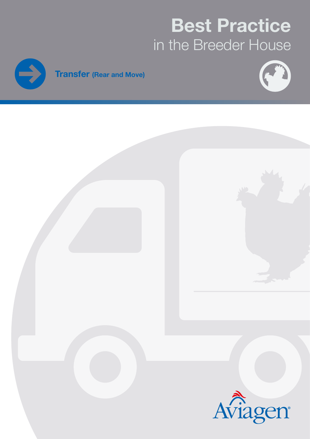# Best Practice in the Breeder House





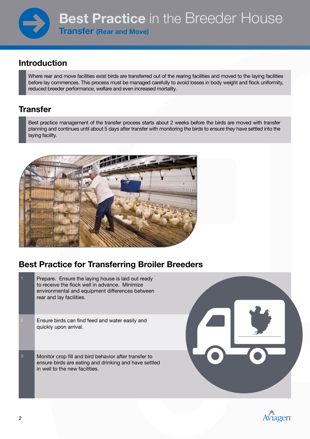### Introduction

Where rear and move facilities exist birds are transferred out of the rearing facilities and moved to the laying facilities before lay commences. This process must be managed carefully to avoid losses in body weight and flock uniformity, reduced breeder performance, welfare and even increased mortality.

### **Transfer**

Best practice management of the transfer process starts about 2 weeks before the birds are moved with transfer planning and continues until about 5 days after transfer with monitoring the birds to ensure they have settled into the laying facility.



## Best Practice for Transferring Broiler Breeders

| $\overline{1}$ | Prepare. Ensure the laying house is laid out ready<br>to receive the flock well in advance. Minimize<br>environmental and equipment differences between<br>rear and lay facilities. |  |
|----------------|-------------------------------------------------------------------------------------------------------------------------------------------------------------------------------------|--|
| $\overline{2}$ | Ensure birds can find feed and water easily and<br>quickly upon arrival.                                                                                                            |  |
| 3              | Monitor crop fill and bird behavior after transfer to<br>ensure birds are eating and drinking and have settled<br>in well to the new facilities.                                    |  |

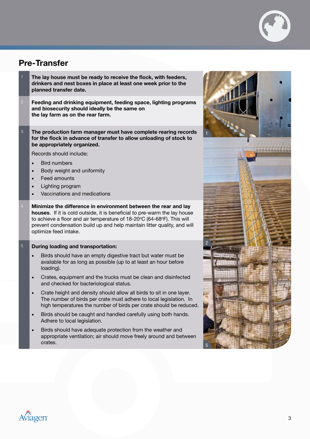

#### Pre-Transfer

- The lay house must be ready to receive the flock, with feeders, drinkers and nest boxes in place at least one week prior to the planned transfer date.
- Feeding and drinking equipment, feeding space, lighting programs and biosecurity should ideally be the same on the lay farm as on the rear farm.
- 3 The production farm manager must have complete rearing records for the flock in advance of transfer to allow unloading of stock to be appropriately organized.

Records should include;

- **Bird numbers**
- Body weight and uniformity
- Feed amounts
- Lighting program
- Vaccinations and medications
- Minimize the difference in environment between the rear and lay houses. If it is cold outside, it is beneficial to pre-warm the lay house to achieve a floor and air temperature of 18-20°C (64-68°F). This will prevent condensation build up and help maintain litter quality, and will optimize feed intake.

#### 5 During loading and transportation:

- Birds should have an empty digestive tract but water must be available for as long as possible (up to at least an hour before loading).
- Crates, equipment and the trucks must be clean and disinfected and checked for bacteriological status.
- Crate height and density should allow all birds to sit in one layer. The number of birds per crate must adhere to local legislation. In high temperatures the number of birds per crate should be reduced.
- Birds should be caught and handled carefully using both hands. Adhere to local legislation.
- Birds should have adequate protection from the weather and appropriate ventilation; air should move freely around and between crates.



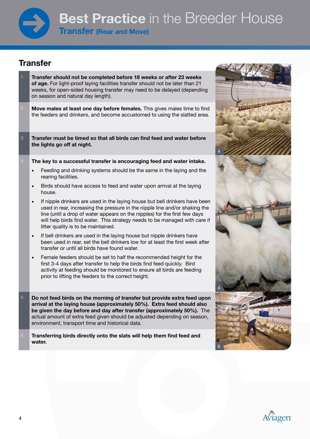

#### **Transfer**

- Transfer should not be completed before 18 weeks or after 23 weeks of age. For light-proof laying facilities transfer should not be later than 21 weeks, for open-sided housing transfer may need to be delayed (depending on season and natural day length).
- Move males at least one day before females. This gives males time to find the feeders and drinkers, and become accustomed to using the slatted area.
- 3 Transfer must be timed so that all birds can find feed and water before the lights go off at night.
- The key to a successful transfer is encouraging feed and water intake.
	- Feeding and drinking systems should be the same in the laying and the rearing facilities.
	- Birds should have access to feed and water upon arrival at the laying house.
	- If nipple drinkers are used in the laying house but bell drinkers have been used in rear, increasing the pressure in the nipple line and/or shaking the line (until a drop of water appears on the nipples) for the first few days will help birds find water. This strategy needs to be managed with care if litter quality is to be maintained.
	- If bell drinkers are used in the laying house but nipple drinkers have been used in rear, set the bell drinkers low for at least the first week after transfer or until all birds have found water.
	- Female feeders should be set to half the recommended height for the first 3-4 days after transfer to help the birds find feed quickly. Bird activity at feeding should be monitored to ensure all birds are feeding prior to lifting the feeders to the correct height.
- 5 Do not feed birds on the morning of transfer but provide extra feed upon arrival at the laying house (approximately 50%). Extra feed should also be given the day before and day after transfer (approximately 50%). The actual amount of extra feed given should be adjusted depending on season, environment, transport time and historical data.
- Transferring birds directly onto the slats will help them find feed and water.



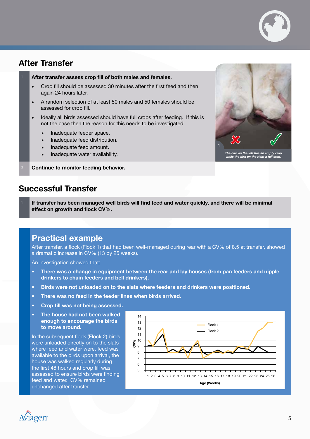

#### After Transfer

#### After transfer assess crop fill of both males and females.

- Crop fill should be assessed 30 minutes after the first feed and then again 24 hours later.
- A random selection of at least 50 males and 50 females should be assessed for crop fill.
- Ideally all birds assessed should have full crops after feeding. If this is not the case then the reason for this needs to be investigated:
	- Inadequate feeder space.
	- Inadequate feed distribution.
	- Inadequate feed amount.
	- Inadequate water availability.

Continue to monitor feeding behavior.



#### Successful Transfer

If transfer has been managed well birds will find feed and water quickly, and there will be minimal effect on growth and flock CV%.

#### Practical example

After transfer, a flock (Flock 1) that had been well-managed during rear with a CV% of 8.5 at transfer, showed a dramatic increase in CV% (13 by 25 weeks).

An investigation showed that:

- There was a change in equipment between the rear and lay houses (from pan feeders and nipple drinkers to chain feeders and bell drinkers).
- Birds were not unloaded on to the slats where feeders and drinkers were positioned.
- There was no feed in the feeder lines when birds arrived.
- Crop fill was not being assessed.
- The house had not been walked enough to encourage the birds to move around.

In the subsequent flock (Flock 2) birds were unloaded directly on to the slats where feed and water were, feed was available to the birds upon arrival, the house was walked regularly during the first 48 hours and crop fill was assessed to ensure birds were finding feed and water. CV% remained unchanged after transfer.



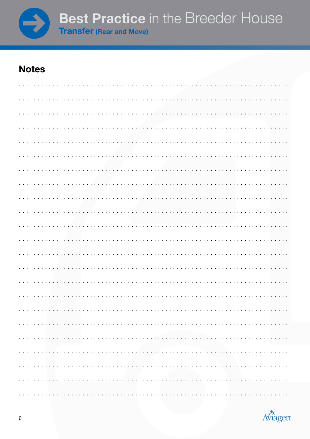

## **Notes**

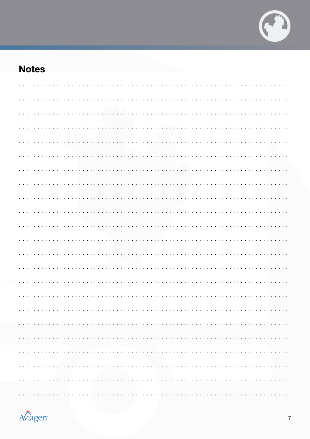

# **Notes**